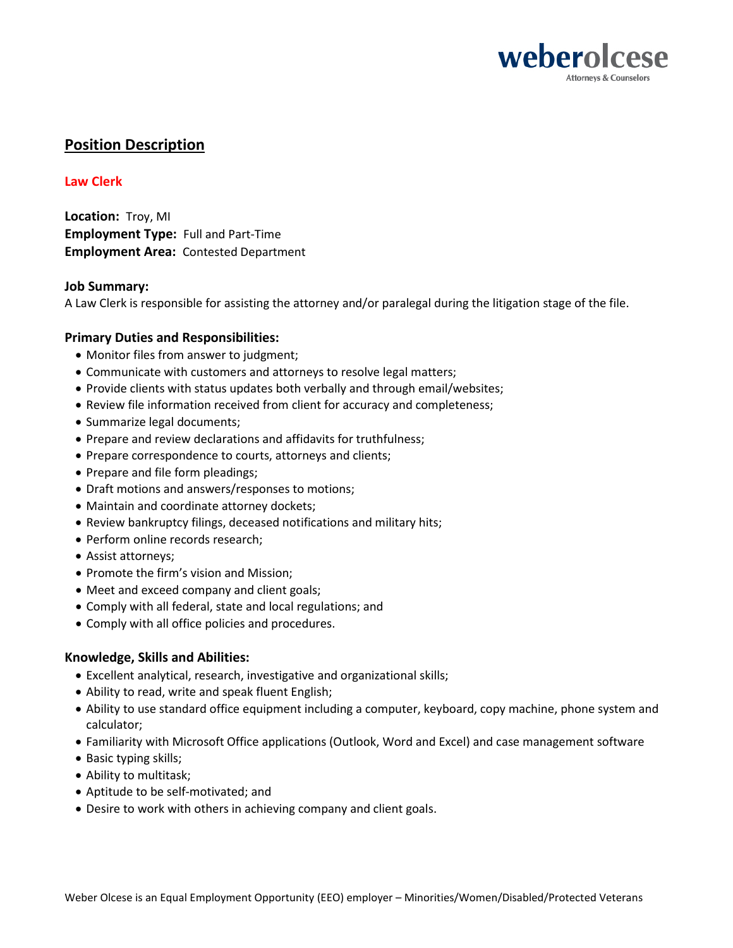

# **Position Description**

# **Law Clerk**

**Location:** Troy, MI **Employment Type:** Full and Part-Time **Employment Area:** Contested Department

## **Job Summary:**

A Law Clerk is responsible for assisting the attorney and/or paralegal during the litigation stage of the file.

## **Primary Duties and Responsibilities:**

- Monitor files from answer to judgment;
- Communicate with customers and attorneys to resolve legal matters;
- Provide clients with status updates both verbally and through email/websites;
- Review file information received from client for accuracy and completeness;
- Summarize legal documents;
- Prepare and review declarations and affidavits for truthfulness;
- Prepare correspondence to courts, attorneys and clients;
- Prepare and file form pleadings;
- Draft motions and answers/responses to motions;
- Maintain and coordinate attorney dockets;
- Review bankruptcy filings, deceased notifications and military hits;
- Perform online records research;
- Assist attorneys;
- Promote the firm's vision and Mission;
- Meet and exceed company and client goals;
- Comply with all federal, state and local regulations; and
- Comply with all office policies and procedures.

# **Knowledge, Skills and Abilities:**

- Excellent analytical, research, investigative and organizational skills;
- Ability to read, write and speak fluent English;
- Ability to use standard office equipment including a computer, keyboard, copy machine, phone system and calculator;
- Familiarity with Microsoft Office applications (Outlook, Word and Excel) and case management software
- Basic typing skills;
- Ability to multitask;
- Aptitude to be self-motivated; and
- Desire to work with others in achieving company and client goals.